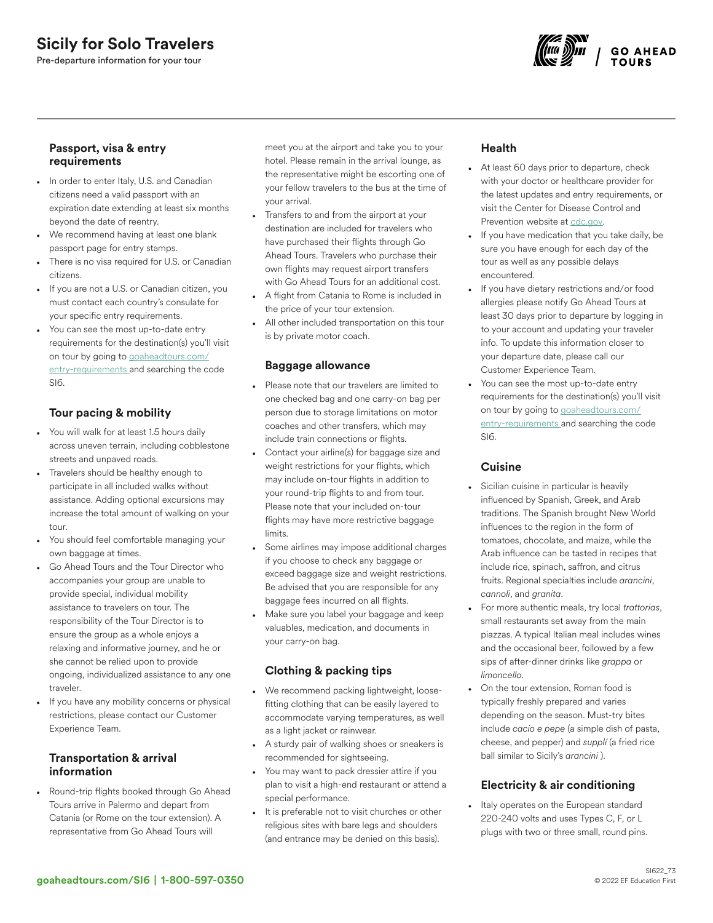# Sicily for Solo Travelers

Pre-departure information for your tour



#### Passport, visa & entry requirements

- In order to enter Italy, U.S. and Canadian citizens need a valid passport with an expiration date extending at least six months beyond the date of reentry.
- We recommend having at least one blank passport page for entry stamps.
- There is no visa required for U.S. or Canadian citizens.
- If you are not a U.S. or Canadian citizen, you must contact each country's consulate for your specific entry requirements.
- You can see the most up-to-date entry requirements for the destination(s) you'll visit on tour by going to [goaheadtours.com/](/entry-requirements?tourCode=SI6) [entry-requirements](/entry-requirements?tourCode=SI6) and searching the code SI6.

## Tour pacing & mobility

- You will walk for at least 1.5 hours daily across uneven terrain, including cobblestone streets and unpaved roads.
- Travelers should be healthy enough to participate in all included walks without assistance. Adding optional excursions may increase the total amount of walking on your tour.
- You should feel comfortable managing your own baggage at times.
- Go Ahead Tours and the Tour Director who accompanies your group are unable to provide special, individual mobility assistance to travelers on tour. The responsibility of the Tour Director is to ensure the group as a whole enjoys a relaxing and informative journey, and he or she cannot be relied upon to provide ongoing, individualized assistance to any one traveler.
- If you have any mobility concerns or physical restrictions, please contact our Customer Experience Team.

## Transportation & arrival information

• Round-trip flights booked through Go Ahead Tours arrive in Palermo and depart from Catania (or Rome on the tour extension). A representative from Go Ahead Tours will

meet you at the airport and take you to your hotel. Please remain in the arrival lounge, as the representative might be escorting one of your fellow travelers to the bus at the time of your arrival.

- Transfers to and from the airport at your destination are included for travelers who have purchased their flights through Go Ahead Tours. Travelers who purchase their own flights may request airport transfers with Go Ahead Tours for an additional cost.
- A flight from Catania to Rome is included in the price of your tour extension.
- All other included transportation on this tour is by private motor coach.

### Baggage allowance

- Please note that our travelers are limited to one checked bag and one carry-on bag per person due to storage limitations on motor coaches and other transfers, which may include train connections or flights.
- Contact your airline(s) for baggage size and weight restrictions for your flights, which may include on-tour flights in addition to your round-trip flights to and from tour. Please note that your included on-tour flights may have more restrictive baggage limits.
- Some airlines may impose additional charges if you choose to check any baggage or exceed baggage size and weight restrictions. Be advised that you are responsible for any baggage fees incurred on all flights.
- Make sure you label your baggage and keep valuables, medication, and documents in your carry-on bag.

## Clothing & packing tips

- We recommend packing lightweight, loosefitting clothing that can be easily layered to accommodate varying temperatures, as well as a light jacket or rainwear.
- A sturdy pair of walking shoes or sneakers is recommended for sightseeing.
- You may want to pack dressier attire if you plan to visit a high-end restaurant or attend a special performance.
- It is preferable not to visit churches or other religious sites with bare legs and shoulders (and entrance may be denied on this basis).

## Health

- At least 60 days prior to departure, check with your doctor or healthcare provider for the latest updates and entry requirements, or visit the Center for Disease Control and Prevention website at [cdc.gov.](https://www.cdc.gov/)
- If you have medication that you take daily, be sure you have enough for each day of the tour as well as any possible delays encountered.
- If you have dietary restrictions and/or food allergies please notify Go Ahead Tours at least 30 days prior to departure by logging in to your account and updating your traveler info. To update this information closer to your departure date, please call our Customer Experience Team.
- You can see the most up-to-date entry requirements for the destination(s) you'll visit on tour by going to [goaheadtours.com/](/entry-requirements?tourCode=SI6) [entry-requirements](/entry-requirements?tourCode=SI6) and searching the code SI6.

#### Cuisine

- Sicilian cuisine in particular is heavily influenced by Spanish, Greek, and Arab traditions. The Spanish brought New World influences to the region in the form of tomatoes, chocolate, and maize, while the Arab influence can be tasted in recipes that include rice, spinach, saffron, and citrus fruits. Regional specialties include *arancini*, *cannoli*, and *granita*.
- For more authentic meals, try local *trattorias*, small restaurants set away from the main piazzas. A typical Italian meal includes wines and the occasional beer, followed by a few sips of after-dinner drinks like *grappa* or *limoncello*.
- On the tour extension, Roman food is typically freshly prepared and varies depending on the season. Must-try bites include *cacio e pepe* (a simple dish of pasta, cheese, and pepper) and *supplí* (a fried rice ball similar to Sicily's *arancini* ).

### Electricity & air conditioning

Italy operates on the European standard 220-240 volts and uses Types C, F, or L plugs with two or three small, round pins.